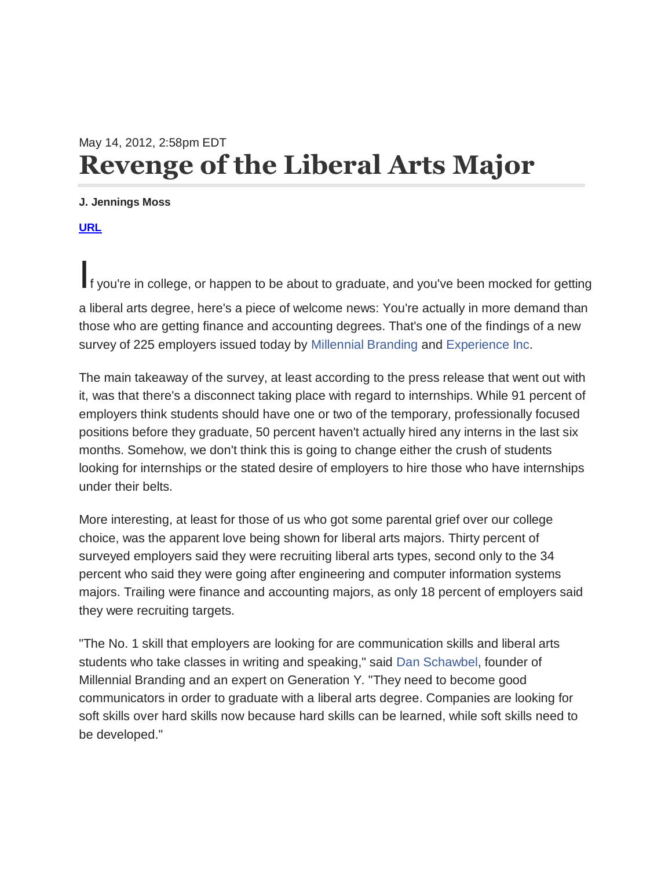## May 14, 2012, 2:58pm EDT **Revenge of the Liberal Arts Major**

## **J. Jennings Moss**

**[URL](http://upstart.bizjournals.com/news/wire/2012/05/14/survey-on-millennial-hiring-highlights-power-of-liberal-arts.html?page=all)**

If you're in college, or happen to be about to graduate, and you've been mocked for getting

a liberal arts degree, here's a piece of welcome news: You're actually in more demand than those who are getting finance and accounting degrees. That's one of the findings of a new survey of 225 employers issued today by [Millennial Branding](http://millennialbranding.com/) and [Experience Inc.](http://www.experience.com/entry-level-jobs/)

The main takeaway of the survey, at least according to the press release that went out with it, was that there's a disconnect taking place with regard to internships. While 91 percent of employers think students should have one or two of the temporary, professionally focused positions before they graduate, 50 percent haven't actually hired any interns in the last six months. Somehow, we don't think this is going to change either the crush of students looking for internships or the stated desire of employers to hire those who have internships under their belts.

More interesting, at least for those of us who got some parental grief over our college choice, was the apparent love being shown for liberal arts majors. Thirty percent of surveyed employers said they were recruiting liberal arts types, second only to the 34 percent who said they were going after engineering and computer information systems majors. Trailing were finance and accounting majors, as only 18 percent of employers said they were recruiting targets.

"The No. 1 skill that employers are looking for are communication skills and liberal arts students who take classes in writing and speaking," said [Dan Schawbel,](http://danschawbel.com/) founder of Millennial Branding and an expert on Generation Y. "They need to become good communicators in order to graduate with a liberal arts degree. Companies are looking for soft skills over hard skills now because hard skills can be learned, while soft skills need to be developed."